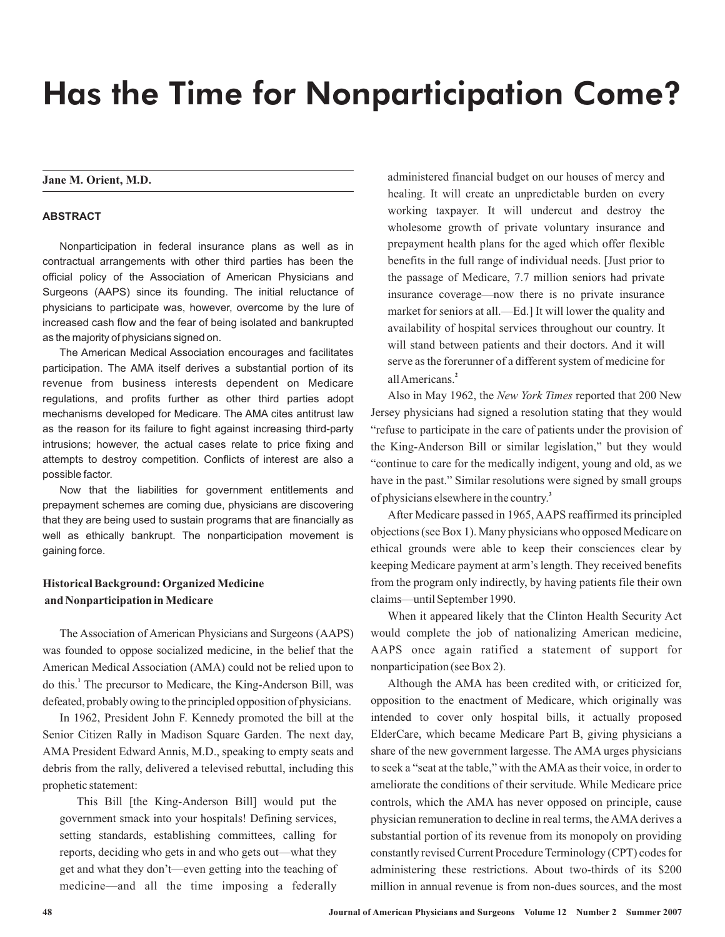# Has the Time for Nonparticipation Come?

# **Jane M. Orient, M.D.**

# **ABSTRACT**

Nonparticipation in federal insurance plans as well as in contractual arrangements with other third parties has been the official policy of the Association of American Physicians and Surgeons (AAPS) since its founding. The initial reluctance of physicians to participate was, however, overcome by the lure of increased cash flow and the fear of being isolated and bankrupted as the majority of physicians signed on.

The American Medical Association encourages and facilitates participation. The AMA itself derives a substantial portion of its revenue from business interests dependent on Medicare regulations, and profits further as other third parties adopt mechanisms developed for Medicare. The AMA cites antitrust law as the reason for its failure to fight against increasing third-party intrusions; however, the actual cases relate to price fixing and attempts to destroy competition. Conflicts of interest are also a possible factor.

Now that the liabilities for government entitlements and prepayment schemes are coming due, physicians are discovering that they are being used to sustain programs that are financially as well as ethically bankrupt. The nonparticipation movement is gaining force.

# **Historical Background: Organized Medicine and Nonparticipation in Medicare**

The Association of American Physicians and Surgeons (AAPS) was founded to oppose socialized medicine, in the belief that the American Medical Association (AMA) could not be relied upon to do this.<sup>1</sup> The precursor to Medicare, the King-Anderson Bill, was defeated, probably owing to the principled opposition of physicians.

In 1962, President John F. Kennedy promoted the bill at the Senior Citizen Rally in Madison Square Garden. The next day, AMA President Edward Annis, M.D., speaking to empty seats and debris from the rally, delivered a televised rebuttal, including this prophetic statement:

This Bill [the King-Anderson Bill] would put the government smack into your hospitals! Defining services, setting standards, establishing committees, calling for reports, deciding who gets in and who gets out—what they get and what they don't—even getting into the teaching of medicine—and all the time imposing a federally

administered financial budget on our houses of mercy and healing. It will create an unpredictable burden on every working taxpayer. It will undercut and destroy the wholesome growth of private voluntary insurance and prepayment health plans for the aged which offer flexible benefits in the full range of individual needs. [Just prior to the passage of Medicare, 7.7 million seniors had private insurance coverage—now there is no private insurance market for seniors at all.—Ed.] It will lower the quality and availability of hospital services throughout our country. It will stand between patients and their doctors. And it will serve as the forerunner of a different system of medicine for allAmericans. **2**

Also in May 1962, the New York Times reported that 200 New Jersey physicians had signed a resolution stating that they would "refuse to participate in the care of patients under the provision of the King-Anderson Bill or similar legislation," but they would "continue to care for the medically indigent, young and old, as we have in the past." Similar resolutions were signed by small groups of physicians elsewhere in the country. **3**

After Medicare passed in 1965, AAPS reaffirmed its principled objections (see Box 1). Many physicians who opposed Medicare on ethical grounds were able to keep their consciences clear by keeping Medicare payment at arm's length. They received benefits from the program only indirectly, by having patients file their own claims—until September 1990.

When it appeared likely that the Clinton Health Security Act would complete the job of nationalizing American medicine, AAPS once again ratified a statement of support for nonparticipation (see Box 2).

Although the AMA has been credited with, or criticized for, opposition to the enactment of Medicare, which originally was intended to cover only hospital bills, it actually proposed ElderCare, which became Medicare Part B, giving physicians a share of the new government largesse. The AMA urges physicians to seek a "seat at the table," with the AMA as their voice, in order to ameliorate the conditions of their servitude. While Medicare price controls, which the AMA has never opposed on principle, cause physician remuneration to decline in real terms, the AMA derives a substantial portion of its revenue from its monopoly on providing constantly revised Current Procedure Terminology (CPT) codes for administering these restrictions. About two-thirds of its \$200 million in annual revenue is from non-dues sources, and the most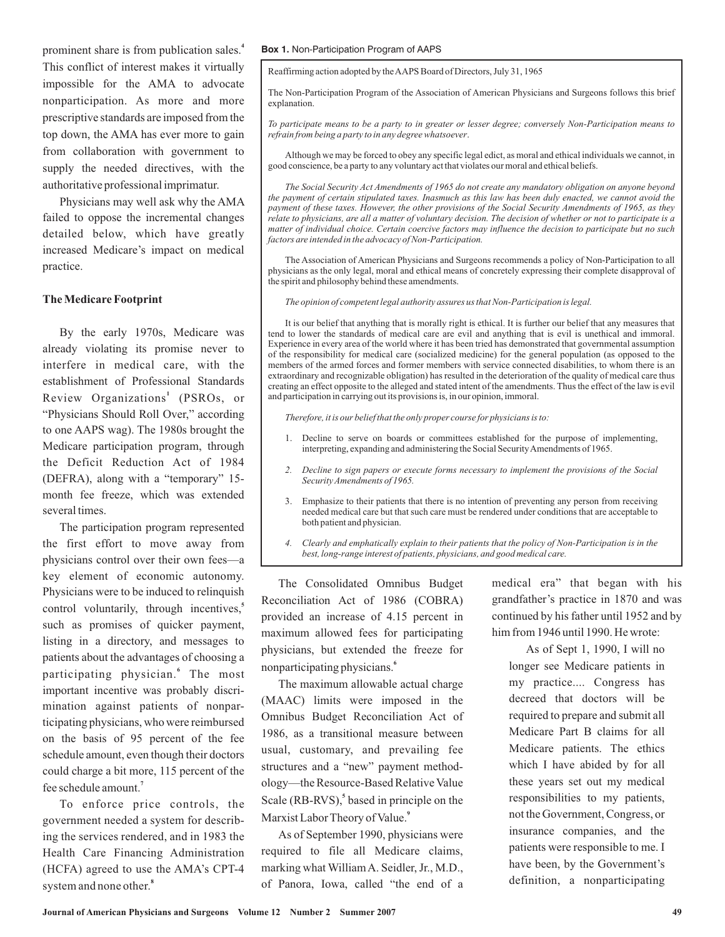prominent share is from publication sales. **4** This conflict of interest makes it virtually impossible for the AMA to advocate nonparticipation. As more and more prescriptive standards are imposed from the top down, the AMA has ever more to gain from collaboration with government to supply the needed directives, with the authoritative professional imprimatur.

Physicians may well ask why the AMA failed to oppose the incremental changes detailed below, which have greatly increased Medicare's impact on medical practice.

## **The Medicare Footprint**

By the early 1970s, Medicare was already violating its promise never to interfere in medical care, with the establishment of Professional Standards Review Organizations<sup>1</sup> (PSROs, or "Physicians Should Roll Over," according to one AAPS wag). The 1980s brought the Medicare participation program, through the Deficit Reduction Act of 1984 (DEFRA), along with a "temporary" 15 month fee freeze, which was extended several times.

The participation program represented the first effort to move away from physicians control over their own fees—a key element of economic autonomy. Physicians were to be induced to relinquish control voluntarily, through incentives, **5** such as promises of quicker payment, listing in a directory, and messages to patients about the advantages of choosing a participating physician.<sup>6</sup> The most important incentive was probably discrimination against patients of nonparticipating physicians, who were reimbursed on the basis of 95 percent of the fee schedule amount, even though their doctors could charge a bit more, 115 percent of the fee schedule amount. **7**

To enforce price controls, the government needed a system for describing the services rendered, and in 1983 the Health Care Financing Administration (HCFA) agreed to use the AMA's CPT-4 system and none other. **8**

#### **Box 1.** Non-Participation Program of AAPS

Reaffirming action adopted by theAAPS Board of Directors, July 31, 1965

The Non-Participation Program of the Association of American Physicians and Surgeons follows this brief explanation.

. *refrain from being a party to in any degree whatsoever To participate means to be a party to in greater or lesser degree; conversely Non-Participation means to*

Although we may be forced to obey any specific legal edict, as moral and ethical individuals we cannot, in good conscience, be a party to any voluntary act that violates our moral and ethical beliefs.

*The Social Security Act Amendments of 1965 do not create any mandatory obligation on anyone beyond the payment of certain stipulated taxes. Inasmuch as this law has been duly enacted, we cannot avoid the payment of these taxes. However, the other provisions of the Social Security Amendments of 1965, as they relate to physicians, are all a matter of voluntary decision. The decision of whether or not to participate is a matter of individual choice. Certain coercive factors may influence the decision to participate but no such factors are intended in the advocacy of Non-Participation.*

The Association of American Physicians and Surgeons recommends a policy of Non-Participation to all physicians as the only legal, moral and ethical means of concretely expressing their complete disapproval of the spirit and philosophy behind these amendments.

*The opinion of competent legal authority assures us that Non-Participation is legal.*

It is our belief that anything that is morally right is ethical. It is further our belief that any measures that tend to lower the standards of medical care are evil and anything that is evil is unethical and immoral. Experience in every area of the world where it has been tried has demonstrated that governmental assumption of the responsibility for medical care (socialized medicine) for the general population (as opposed to the members of the armed forces and former members with service connected disabilities, to whom there is an extraordinary and recognizable obligation) has resulted in the deterioration of the quality of medical care thus creating an effect opposite to the alleged and stated intent of the amendments. Thus the effect of the law is evil and participation in carrying out its provisions is, in our opinion, immoral.

*Therefore, it is our belief that the only proper course for physicians is to:*

- 1. Decline to serve on boards or committees established for the purpose of implementing, interpreting, expanding and administering the Social SecurityAmendments of 1965.
- *2. Decline to sign papers or execute forms necessary to implement the provisions of the Social Security Amendments of 1965.*
- 3. Emphasize to their patients that there is no intention of preventing any person from receiving needed medical care but that such care must be rendered under conditions that are acceptable to both patient and physician.
- *4. Clearly and emphatically explain to their patients that the policy of Non-Participation is in the best, long-range interest of patients, physicians, and good medical care.*

The Consolidated Omnibus Budget Reconciliation Act of 1986 (COBRA) provided an increase of 4.15 percent in maximum allowed fees for participating physicians, but extended the freeze for nonparticipating physicians. **6**

The maximum allowable actual charge (MAAC) limits were imposed in the Omnibus Budget Reconciliation Act of 1986, as a transitional measure between usual, customary, and prevailing fee structures and a "new" payment methodology—the Resource-Based Relative Value Scale (RB-RVS),<sup>5</sup> based in principle on the Marxist Labor Theory of Value. **9**

As of September 1990, physicians were required to file all Medicare claims, marking what William A. Seidler, Jr., M.D., of Panora, Iowa, called "the end of a

medical era" that began with his grandfather's practice in 1870 and was continued by his father until 1952 and by him from 1946 until 1990. He wrote:

As of Sept 1, 1990, I will no longer see Medicare patients in my practice.... Congress has decreed that doctors will be required to prepare and submit all Medicare Part B claims for all Medicare patients. The ethics which I have abided by for all these years set out my medical responsibilities to my patients, not the Government, Congress, or insurance companies, and the patients were responsible to me. I have been, by the Government's definition, a nonparticipating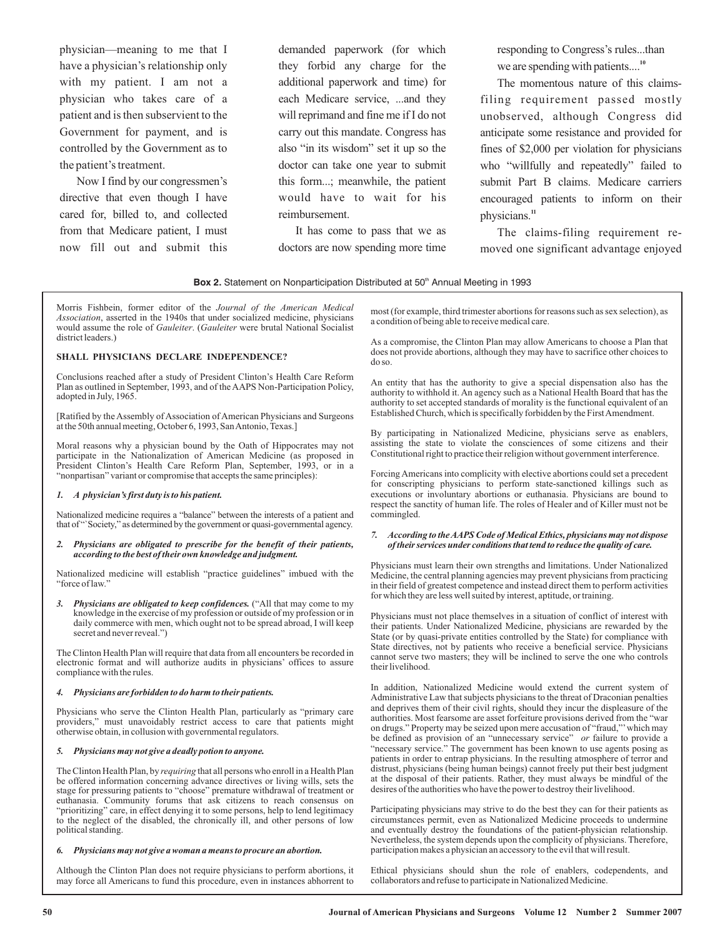physician—meaning to me that I have a physician's relationship only with my patient. I am not a physician who takes care of a patient and is then subservient to the Government for payment, and is controlled by the Government as to the patient's treatment.

Now I find by our congressmen's directive that even though I have cared for, billed to, and collected from that Medicare patient, I must now fill out and submit this

demanded paperwork (for which they forbid any charge for the additional paperwork and time) for each Medicare service, ...and they will reprimand and fine me if I do not carry out this mandate. Congress has also "in its wisdom" set it up so the doctor can take one year to submit this form...; meanwhile, the patient would have to wait for his reimbursement.

It has come to pass that we as doctors are now spending more time responding to Congress's rules...than we are spending with patients....<sup>10</sup>

The momentous nature of this claimsfiling requirement passed mostly unobserved, although Congress did anticipate some resistance and provided for fines of \$2,000 per violation for physicians who "willfully and repeatedly" failed to submit Part B claims. Medicare carriers encouraged patients to inform on their physicians. **11**

The claims-filing requirement removed one significant advantage enjoyed

#### **Box 2.** Statement on Nonparticipation Distributed at 50<sup>th</sup> Annual Meeting in 1993

Morris Fishbein, former editor of the *Journal of the American Medical* Association, asserted in the 1940s that under socialized medicine, physicians would assume the role of Gauleiter. (Gauleiter were brutal National Socialist district leaders.)

## **SHALL PHYSICIANS DECLARE INDEPENDENCE?**

Conclusions reached after a study of President Clinton's Health Care Reform Plan as outlined in September, 1993, and of the AAPS Non-Participation Policy, adopted in July, 1965.

[Ratified by the Assembly of Association of American Physicians and Surgeons at the 50th annual meeting, October 6, 1993, SanAntonio, Texas.]

Moral reasons why a physician bound by the Oath of Hippocrates may not participate in the Nationalization of American Medicine (as proposed in President Clinton's Health Care Reform Plan, September, 1993, or in a "nonpartisan" variant or compromise that accepts the same principles):

#### *1. A physician's first duty is to his patient.*

Nationalized medicine requires a "balance" between the interests of a patient and that of "`Society," as determined by the government or quasi-governmental agency.

#### *2. Physicians are obligated to prescribe for the benefit of their patients, according to the best of their own knowledge and judgment.*

Nationalized medicine will establish "practice guidelines" imbued with the "force of law."

3. Physicians are obligated to keep confidences. ("All that may come to my knowledge in the exercise of my profession or outside of my profession or in daily commerce with men, which ought not to be spread abroad, I will keep secret and never reveal.")

The Clinton Health Plan will require that data from all encounters be recorded in electronic format and will authorize audits in physicians' offices to assure compliance with the rules.

#### *4. Physicians are forbidden to do harm to their patients.*

Physicians who serve the Clinton Health Plan, particularly as "primary care providers," must unavoidably restrict access to care that patients might otherwise obtain, in collusion with governmental regulators.

#### *5. Physicians may not give a deadly potion to anyone.*

The Clinton Health Plan, by *requiring* that all persons who enroll in a Health Plan be offered information concerning advance directives or living wills, sets the stage for pressuring patients to "choose" premature withdrawal of treatment or euthanasia. Community forums that ask citizens to reach consensus on "prioritizing" care, in effect denying it to some persons, help to lend legitimacy to the neglect of the disabled, the chronically ill, and other persons of low political standing.

#### *6. Physicians may not give a woman a means to procure an abortion.*

Although the Clinton Plan does not require physicians to perform abortions, it may force all Americans to fund this procedure, even in instances abhorrent to

most (for example, third trimester abortions for reasons such as sex selection), as a condition of being able to receive medical care.

As a compromise, the Clinton Plan may allow Americans to choose a Plan that does not provide abortions, although they may have to sacrifice other choices to do so.

An entity that has the authority to give a special dispensation also has the authority to withhold it. An agency such as a National Health Board that has the authority to set accepted standards of morality is the functional equivalent of an Established Church, which is specifically forbidden by the FirstAmendment.

By participating in Nationalized Medicine, physicians serve as enablers, assisting the state to violate the consciences of some citizens and their Constitutional right to practice their religion without government interference.

Forcing Americans into complicity with elective abortions could set a precedent for conscripting physicians to perform state-sanctioned killings such as executions or involuntary abortions or euthanasia. Physicians are bound to respect the sanctity of human life. The roles of Healer and of Killer must not be commingled.

#### *7. According to theAAPS Code of Medical Ethics, physicians may not dispose of their services under conditions that tend to reduce the quality of care.*

Physicians must learn their own strengths and limitations. Under Nationalized Medicine, the central planning agencies may prevent physicians from practicing in their field of greatest competence and instead direct them to perform activities for which they are less well suited by interest, aptitude, or training.

Physicians must not place themselves in a situation of conflict of interest with their patients. Under Nationalized Medicine, physicians are rewarded by the State (or by quasi-private entities controlled by the State) for compliance with State directives, not by patients who receive a beneficial service. Physicians cannot serve two masters; they will be inclined to serve the one who controls their livelihood.

In addition, Nationalized Medicine would extend the current system of Administrative Law that subjects physicians to the threat of Draconian penalties and deprives them of their civil rights, should they incur the displeasure of the authorities. Most fearsome are asset forfeiture provisions derived from the "war on drugs." Property may be seized upon mere accusation of "fraud,"'which may be defined as provision of an "unnecessary service" or failure to provide a "necessary service." The government has been known to use agents posing as patients in order to entrap physicians. In the resulting atmosphere of terror and distrust, physicians (being human beings) cannot freely put their best judgment at the disposal of their patients. Rather, they must always be mindful of the desires of the authorities who have the power to destroy their livelihood.

Participating physicians may strive to do the best they can for their patients as circumstances permit, even as Nationalized Medicine proceeds to undermine and eventually destroy the foundations of the patient-physician relationship. Nevertheless, the system depends upon the complicity of physicians. Therefore, participation makes a physician an accessory to the evil that will result.

Ethical physicians should shun the role of enablers, codependents, and collaborators and refuse to participate in Nationalized Medicine.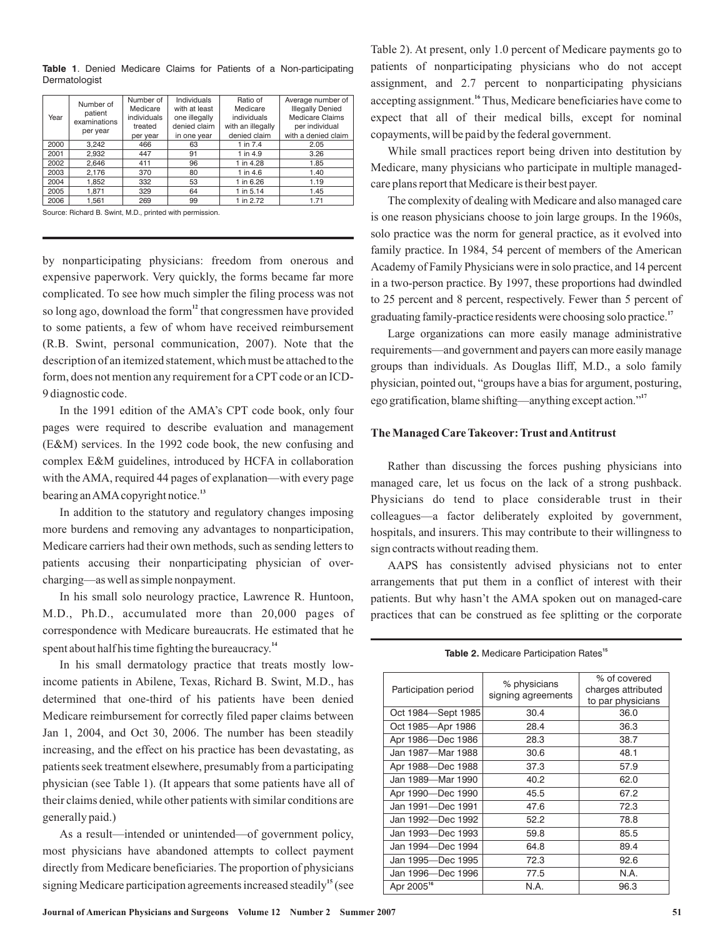|      | Number of               | Number of   | <b>Individuals</b> | Ratio of          | Average number of       |
|------|-------------------------|-------------|--------------------|-------------------|-------------------------|
|      |                         | Medicare    | with at least      | Medicare          | <b>Illegally Denied</b> |
| Year | patient<br>examinations | individuals | one illegally      | individuals       | <b>Medicare Claims</b>  |
|      |                         | treated     | denied claim       | with an illegally | per individual          |
|      | per year                | per year    | in one year        | denied claim      | with a denied claim     |
| 2000 | 3.242                   | 466         | 63                 | 1 in 7.4          | 2.05                    |
| 2001 | 2.932                   | 447         | 91                 | 1 in 4.9          | 3.26                    |
| 2002 | 2.646                   | 411         | 96                 | 1 in 4.28         | 1.85                    |
| 2003 | 2,176                   | 370         | 80                 | 1 in 4.6          | 1.40                    |
| 2004 | 1,852                   | 332         | 53                 | 1 in 6.26         | 1.19                    |
| 2005 | 1.871                   | 329         | 64                 | 1 in 5.14         | 1.45                    |
| 2006 | 1.561                   | 269         | 99                 | 1 in 2.72         | 1.71                    |

**Table 1**. Denied Medicare Claims for Patients of a Non-participating Dermatologist

Source: Richard B. Swint, M.D., printed with permission.

by nonparticipating physicians: freedom from onerous and expensive paperwork. Very quickly, the forms became far more complicated. To see how much simpler the filing process was not so long ago, download the form<sup>12</sup> that congressmen have provided to some patients, a few of whom have received reimbursement (R.B. Swint, personal communication, 2007). Note that the description of an itemized statement, which must be attached to the form, does not mention any requirement for a CPT code or an ICD-9 diagnostic code.

In the 1991 edition of the AMA's CPT code book, only four pages were required to describe evaluation and management (E&M) services. In the 1992 code book, the new confusing and complex E&M guidelines, introduced by HCFA in collaboration with the AMA, required 44 pages of explanation—with every page bearing anAMAcopyright notice. **13**

In addition to the statutory and regulatory changes imposing more burdens and removing any advantages to nonparticipation, Medicare carriers had their own methods, such as sending letters to patients accusing their nonparticipating physician of overcharging—as well as simple nonpayment.

In his small solo neurology practice, Lawrence R. Huntoon, M.D., Ph.D., accumulated more than 20,000 pages of correspondence with Medicare bureaucrats. He estimated that he spent about half his time fighting the bureaucracy.<sup>14</sup>

In his small dermatology practice that treats mostly lowincome patients in Abilene, Texas, Richard B. Swint, M.D., has determined that one-third of his patients have been denied Medicare reimbursement for correctly filed paper claims between Jan 1, 2004, and Oct 30, 2006. The number has been steadily increasing, and the effect on his practice has been devastating, as patients seek treatment elsewhere, presumably from a participating physician (see Table 1). (It appears that some patients have all of their claims denied, while other patients with similar conditions are generally paid.)

As a result—intended or unintended—of government policy, most physicians have abandoned attempts to collect payment directly from Medicare beneficiaries. The proportion of physicians signing Medicare participation agreements increased steadily<sup>15</sup> (see

Table 2). At present, only 1.0 percent of Medicare payments go to patients of nonparticipating physicians who do not accept assignment, and 2.7 percent to nonparticipating physicians accepting assignment.<sup>16</sup> Thus, Medicare beneficiaries have come to expect that all of their medical bills, except for nominal copayments, will be paid by the federal government.

While small practices report being driven into destitution by Medicare, many physicians who participate in multiple managedcare plans report that Medicare is their best payer.

The complexity of dealing with Medicare and also managed care is one reason physicians choose to join large groups. In the 1960s, solo practice was the norm for general practice, as it evolved into family practice. In 1984, 54 percent of members of the American Academy of Family Physicians were in solo practice, and 14 percent in a two-person practice. By 1997, these proportions had dwindled to 25 percent and 8 percent, respectively. Fewer than 5 percent of graduating family-practice residents were choosing solo practice. **17**

Large organizations can more easily manage administrative requirements—and government and payers can more easily manage groups than individuals. As Douglas Iliff, M.D., a solo family physician, pointed out, "groups have a bias for argument, posturing, ego gratification, blame shifting—anything except action." **17**

## **The Managed Care Takeover: Trust andAntitrust**

Rather than discussing the forces pushing physicians into managed care, let us focus on the lack of a strong pushback. Physicians do tend to place considerable trust in their colleagues—a factor deliberately exploited by government, hospitals, and insurers. This may contribute to their willingness to sign contracts without reading them.

AAPS has consistently advised physicians not to enter arrangements that put them in a conflict of interest with their patients. But why hasn't the AMA spoken out on managed-care practices that can be construed as fee splitting or the corporate

**Table 2.** Medicare Participation Rates<sup>15</sup>

| Participation period   | % physicians<br>signing agreements | % of covered<br>charges attributed<br>to par physicians |
|------------------------|------------------------------------|---------------------------------------------------------|
| Oct 1984 – Sept 1985   | 30.4                               | 36.0                                                    |
| Oct 1985-Apr 1986      | 28.4                               | 36.3                                                    |
| Apr 1986-Dec 1986      | 28.3                               | 38.7                                                    |
| Jan 1987-Mar 1988      | 30.6                               | 48.1                                                    |
| Apr 1988-Dec 1988      | 37.3                               | 57.9                                                    |
| Jan 1989-Mar 1990      | 40.2                               | 62.0                                                    |
| Apr 1990-Dec 1990      | 45.5                               | 67.2                                                    |
| Jan 1991-Dec 1991      | 47.6                               | 72.3                                                    |
| Jan 1992-Dec 1992      | 52.2                               | 78.8                                                    |
| Jan 1993-Dec 1993      | 59.8                               | 85.5                                                    |
| Jan 1994-Dec 1994      | 64.8                               | 89.4                                                    |
| Jan 1995-Dec 1995      | 72.3                               | 92.6                                                    |
| Jan 1996-Dec 1996      | 77.5                               | N.A.                                                    |
| Apr 2005 <sup>16</sup> | N.A.                               | 96.3                                                    |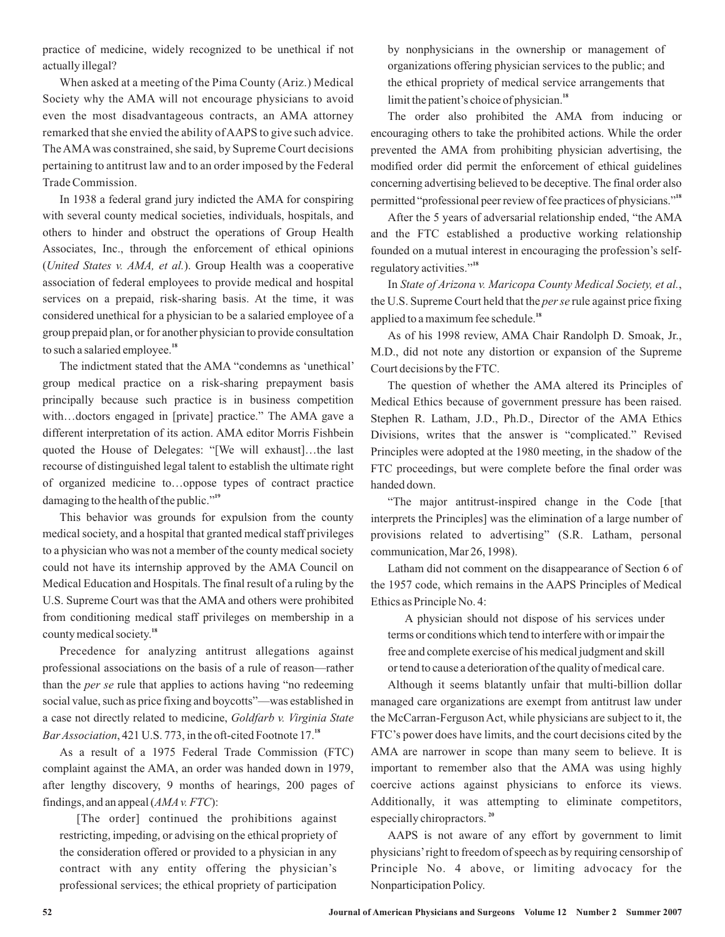practice of medicine, widely recognized to be unethical if not actually illegal?

When asked at a meeting of the Pima County (Ariz.) Medical Society why the AMA will not encourage physicians to avoid even the most disadvantageous contracts, an AMA attorney remarked that she envied the ability ofAAPS to give such advice. TheAMAwas constrained, she said, by Supreme Court decisions pertaining to antitrust law and to an order imposed by the Federal Trade Commission.

In 1938 a federal grand jury indicted the AMA for conspiring with several county medical societies, individuals, hospitals, and others to hinder and obstruct the operations of Group Health Associates, Inc., through the enforcement of ethical opinions (United States v. AMA, et al.). Group Health was a cooperative association of federal employees to provide medical and hospital services on a prepaid, risk-sharing basis. At the time, it was considered unethical for a physician to be a salaried employee of a group prepaid plan, or for another physician to provide consultation to such a salaried employee. **18**

The indictment stated that the AMA "condemns as 'unethical' group medical practice on a risk-sharing prepayment basis principally because such practice is in business competition with…doctors engaged in [private] practice." The AMA gave a different interpretation of its action. AMA editor Morris Fishbein quoted the House of Delegates: "[We will exhaust]…the last recourse of distinguished legal talent to establish the ultimate right of organized medicine to…oppose types of contract practice damaging to the health of the public." **19**

This behavior was grounds for expulsion from the county medical society, and a hospital that granted medical staff privileges to a physician who was not a member of the county medical society could not have its internship approved by the AMA Council on Medical Education and Hospitals. The final result of a ruling by the U.S. Supreme Court was that the AMA and others were prohibited from conditioning medical staff privileges on membership in a county medical society. **18**

Precedence for analyzing antitrust allegations against professional associations on the basis of a rule of reason—rather than the *per se* rule that applies to actions having "no redeeming social value, such as price fixing and boycotts"—was established in a case not directly related to medicine, *Goldfarb v. Virginia State* Bar Association, 421 U.S. 773, in the oft-cited Footnote 17.<sup>18</sup>

As a result of a 1975 Federal Trade Commission (FTC) complaint against the AMA, an order was handed down in 1979, after lengthy discovery, 9 months of hearings, 200 pages of findings, and an appeal  $(AMA v. FTC)$ :

[The order] continued the prohibitions against restricting, impeding, or advising on the ethical propriety of the consideration offered or provided to a physician in any contract with any entity offering the physician's professional services; the ethical propriety of participation by nonphysicians in the ownership or management of organizations offering physician services to the public; and the ethical propriety of medical service arrangements that limit the patient's choice of physician. **18**

The order also prohibited the AMA from inducing or encouraging others to take the prohibited actions. While the order prevented the AMA from prohibiting physician advertising, the modified order did permit the enforcement of ethical guidelines concerning advertising believed to be deceptive. The final order also permitted "professional peer review of fee practices of physicians." **18**

After the 5 years of adversarial relationship ended, "the AMA and the FTC established a productive working relationship founded on a mutual interest in encouraging the profession's selfregulatory activities." **18**

In , *State of Arizona v. Maricopa County Medical Society, et al.* the U.S. Supreme Court held that the *per se* rule against price fixing applied to a maximum fee schedule. **18**

As of his 1998 review, AMA Chair Randolph D. Smoak, Jr., M.D., did not note any distortion or expansion of the Supreme Court decisions by the FTC.

The question of whether the AMA altered its Principles of Medical Ethics because of government pressure has been raised. Stephen R. Latham, J.D., Ph.D., Director of the AMA Ethics Divisions, writes that the answer is "complicated." Revised Principles were adopted at the 1980 meeting, in the shadow of the FTC proceedings, but were complete before the final order was handed down.

"The major antitrust-inspired change in the Code [that interprets the Principles] was the elimination of a large number of provisions related to advertising" (S.R. Latham, personal communication, Mar 26, 1998).

Latham did not comment on the disappearance of Section 6 of the 1957 code, which remains in the AAPS Principles of Medical Ethics as Principle No. 4:

A physician should not dispose of his services under terms or conditions which tend to interfere with or impair the free and complete exercise of his medical judgment and skill or tend to cause a deterioration of the quality of medical care.

Although it seems blatantly unfair that multi-billion dollar managed care organizations are exempt from antitrust law under the McCarran-Ferguson Act, while physicians are subject to it, the FTC's power does have limits, and the court decisions cited by the AMA are narrower in scope than many seem to believe. It is important to remember also that the AMA was using highly coercive actions against physicians to enforce its views. Additionally, it was attempting to eliminate competitors, especially chiropractors. **20**

AAPS is not aware of any effort by government to limit physicians' right to freedom of speech as by requiring censorship of Principle No. 4 above, or limiting advocacy for the Nonparticipation Policy.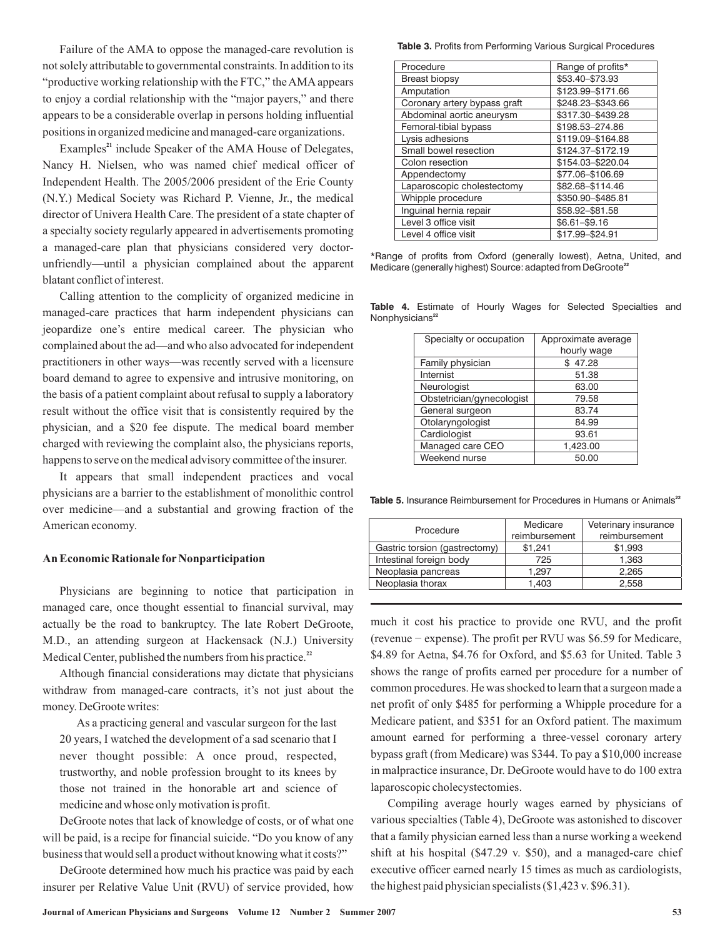Failure of the AMA to oppose the managed-care revolution is not solely attributable to governmental constraints. In addition to its "productive working relationship with the FTC," the AMA appears to enjoy a cordial relationship with the "major payers," and there appears to be a considerable overlap in persons holding influential positions in organized medicine and managed-care organizations.

Examples<sup>21</sup> include Speaker of the AMA House of Delegates, Nancy H. Nielsen, who was named chief medical officer of Independent Health. The 2005/2006 president of the Erie County (N.Y.) Medical Society was Richard P. Vienne, Jr., the medical director of Univera Health Care. The president of a state chapter of a specialty society regularly appeared in advertisements promoting a managed-care plan that physicians considered very doctorunfriendly—until a physician complained about the apparent blatant conflict of interest.

Calling attention to the complicity of organized medicine in managed-care practices that harm independent physicians can jeopardize one's entire medical career. The physician who complained about the ad—and who also advocated for independent practitioners in other ways—was recently served with a licensure board demand to agree to expensive and intrusive monitoring, on the basis of a patient complaint about refusal to supply a laboratory result without the office visit that is consistently required by the physician, and a \$20 fee dispute. The medical board member charged with reviewing the complaint also, the physicians reports, happens to serve on the medical advisory committee of the insurer.

It appears that small independent practices and vocal physicians are a barrier to the establishment of monolithic control over medicine—and a substantial and growing fraction of the American economy.

## **An Economic Rationale for Nonparticipation**

Physicians are beginning to notice that participation in managed care, once thought essential to financial survival, may actually be the road to bankruptcy. The late Robert DeGroote, M.D., an attending surgeon at Hackensack (N.J.) University Medical Center, published the numbers from his practice.<sup>22</sup>

Although financial considerations may dictate that physicians withdraw from managed-care contracts, it's not just about the money. DeGroote writes:

As a practicing general and vascular surgeon for the last 20 years, I watched the development of a sad scenario that I never thought possible: A once proud, respected, trustworthy, and noble profession brought to its knees by those not trained in the honorable art and science of medicine and whose only motivation is profit.

DeGroote notes that lack of knowledge of costs, or of what one will be paid, is a recipe for financial suicide. "Do you know of any business that would sell a product without knowing what it costs?"

DeGroote determined how much his practice was paid by each insurer per Relative Value Unit (RVU) of service provided, how

**Table 3.** Profits from Performing Various Surgical Procedures

| Procedure                    | Range of profits* |
|------------------------------|-------------------|
| <b>Breast biopsy</b>         | \$53.40-\$73.93   |
| Amputation                   | \$123.99-\$171.66 |
| Coronary artery bypass graft | \$248.23-\$343.66 |
| Abdominal aortic aneurysm    | \$317.30-\$439.28 |
| Femoral-tibial bypass        | \$198.53-274.86   |
| Lysis adhesions              | \$119.09-\$164.88 |
| Small bowel resection        | \$124.37-\$172.19 |
| Colon resection              | \$154.03-\$220.04 |
| Appendectomy                 | \$77.06-\$106.69  |
| Laparoscopic cholestectomy   | \$82.68-\$114.46  |
| Whipple procedure            | \$350.90-\$485.81 |
| Inguinal hernia repair       | \$58.92-\$81.58   |
| Level 3 office visit         | $$6.61 - $9.16$   |
| Level 4 office visit         | \$17.99-\$24.91   |

\*Range of profits from Oxford (generally lowest), Aetna, United, and Medicare (generally highest) Source: adapted from DeGroote<sup>22</sup>

| Specialty or occupation   | Approximate average |
|---------------------------|---------------------|
|                           | hourly wage         |
| Family physician          | 47.28<br>\$         |
| Internist                 | 51.38               |
| Neurologist               | 63.00               |
| Obstetrician/gynecologist | 79.58               |
| General surgeon           | 83.74               |
| Otolaryngologist          | 84.99               |
| Cardiologist              | 93.61               |
| Managed care CEO          | 1,423.00            |
| Weekend nurse             | 50.00               |

**Table 4.** Estimate of Hourly Wages for Selected Specialties and Nonphysicians<sup>22</sup>

Table 5. Insurance Reimbursement for Procedures in Humans or Animals<sup>22</sup>

| Procedure                     | Medicare<br>reimbursement | Veterinary insurance<br>reimbursement |
|-------------------------------|---------------------------|---------------------------------------|
| Gastric torsion (gastrectomy) | \$1.241                   | \$1,993                               |
| Intestinal foreign body       | 725                       | 1,363                                 |
| Neoplasia pancreas            | 1.297                     | 2.265                                 |
| Neoplasia thorax              | 1.403                     | 2.558                                 |

much it cost his practice to provide one RVU, and the profit (revenue − expense). The profit per RVU was \$6.59 for Medicare, \$4.89 for Aetna, \$4.76 for Oxford, and \$5.63 for United. Table 3 shows the range of profits earned per procedure for a number of common procedures. He was shocked to learn that a surgeon made a net profit of only \$485 for performing a Whipple procedure for a Medicare patient, and \$351 for an Oxford patient. The maximum amount earned for performing a three-vessel coronary artery bypass graft (from Medicare) was \$344. To pay a \$10,000 increase in malpractice insurance, Dr. DeGroote would have to do 100 extra laparoscopic cholecystectomies.

Compiling average hourly wages earned by physicians of various specialties (Table 4), DeGroote was astonished to discover that a family physician earned less than a nurse working a weekend shift at his hospital (\$47.29 v. \$50), and a managed-care chief executive officer earned nearly 15 times as much as cardiologists, the highest paid physician specialists (\$1,423 v. \$96.31).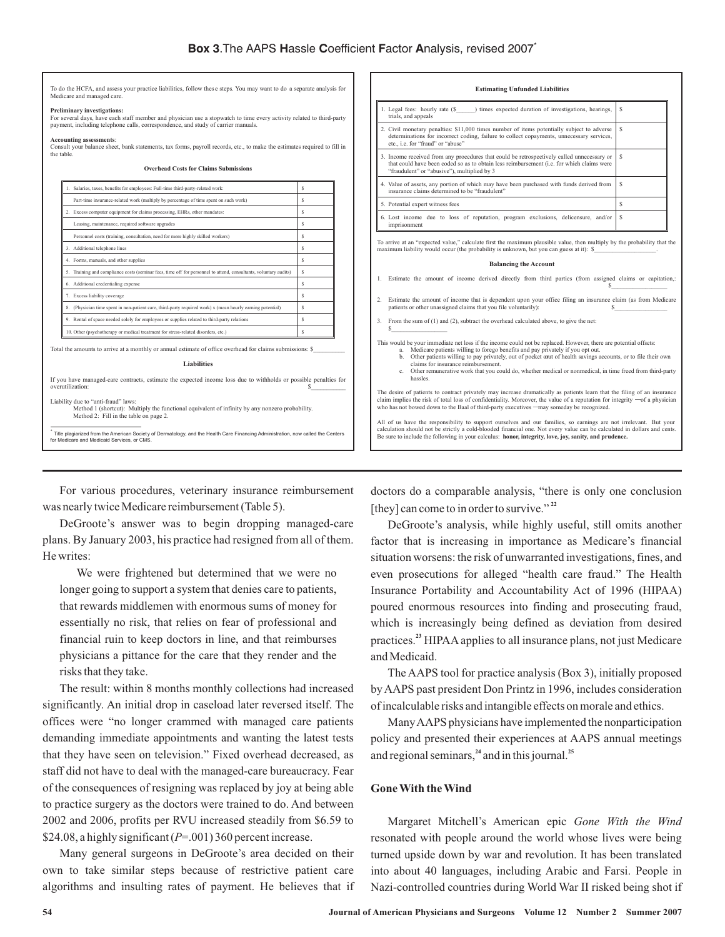To do the HCFA, and assess your practice liabilities, follow these steps. You may want to do a separate analysis for<br>Medicare and managed care. Medicare and n

#### **Preliminary investigations:**

For several days, have each staff member and physician use a stopwatch to time every activity related to third-party payment, including telephone calls, correspondence, and study of carrier manuals.

#### **Accounting assessments**:

It your balance sheet, bank statements, tax forms, payroll records, etc., to make the estimates required to fill in the table. **Overhead Costs for Claims Submissions**

| Part-time insurance-related work (multiply by percentage of time spent on such work)                                                                                             | s |
|----------------------------------------------------------------------------------------------------------------------------------------------------------------------------------|---|
| 2. Excess computer equipment for claims processing, EHRs, other mandates:                                                                                                        | Ś |
| Leasing, maintenance, required software upgrades                                                                                                                                 | Ś |
| Personnel costs (training, consultation, need for more highly skilled workers)                                                                                                   | S |
| 3. Additional telephone lines                                                                                                                                                    | Ś |
| 4. Forms, manuals, and other supplies                                                                                                                                            | Ś |
| 5. Training and compliance costs (seminar fees, time off for personnel to attend, consultants, voluntary audits)                                                                 | Ś |
| 6. Additional credentialing expense                                                                                                                                              | Ś |
| 7. Excess liability coverage                                                                                                                                                     | Ś |
| 8. (Physician time spent in non-patient care, third-party required work) x (mean hourly earning potential)                                                                       | s |
| 9. Rental of space needed solely for employees or supplies related to third-party relations                                                                                      | Ś |
| 10. Other (psychotherapy or medical treatment for stress-related disorders, etc.)                                                                                                | S |
| Total the amounts to arrive at a monthly or annual estimate of office overhead for claims submissions: \$<br><b>Liabilities</b>                                                  |   |
| If you have managed-care contracts, estimate the expected income loss due to withholds or possible penalties for<br>overutilization:                                             | S |
| Liability due to "anti-fraud" laws:<br>Method 1 (shortcut): Multiply the functional equivalent of infinity by any nonzero probability.<br>Method 2: Fill in the table on page 2. |   |
|                                                                                                                                                                                  |   |

#### 1. Legal fees: hourly rate (\$\_\_\_\_\_\_) times expected duration of investigations, hearings, trials, and appeals \$ 2. Civil monetary penalties: \$11,000 times number of items potentially subject to adverse or incorrect coding, failure to collect copayments, un etc., i.e. for "fraud" or "abuse \$ 3. Income received from any procedures that could be retrospectively called unnecessary or that could have been coded so as to obtain less reimbursement (i.e. for which claims were "fraudulent" or "abusive"), multiplied by 3 \$ 4. Value of assets, any portion of which may have been purchased with funds derived from insurance claims determined to be "fraudulent" \$ 5. Potential expert witness fees \$ 6. Lost income due to loss of reputation, program exclusions, delicensure, and/or *imprisonment* \$ To arrive at an "expected value," calculate first the maximum plausible value, then multiply by the probability that the maximum liability would occur (the probability is unknown, but you can guess at it): \$\_

**Estimating Unfunded Liabilities**

#### **Balancing the Account**

- 1. Estimate the amount of income derived directly from third parties (from assigned claims or capitation,  $s$
- 2. Estimate the amount of income that is dependent upon your office filing an insurance claim (as from Medicare patients or other unassigned claims that you file voluntarily): \$

3. From the sum of (1) and (2), subtract the overhead calculated above, to give the net:  $s$  and  $s$  and  $s$  and  $s$  and  $s$ 

This would be your immediate net loss if the income could not be replaced. However, there are potential offsets:

- a. Medicare patients willing to forego benefits and pay privately if you opt out.<br>b. Other patients willing to pay privately, out of pocket out of health savings accounts, or to file their own<br>claims for insurance reimburs
- c. Other remunerative work that you could do, whether medical or nonmedical, in time freed from third-party hassles.

claims for insurance reimbursement.<br>
c. Other remunerative work that you could do, whether medical or nonmedical, in time freed from third-party<br>
hassles.<br>
The desire of patients to contract privately may increase dramatic

All of us have the responsibility to support ourselves and our families, so earnings are not irrelevant. But your<br>calculation should not be strictly a cold-blooded financial one. Not every value can be calculated in dollar Be sure to include the following in your calculus: **honor, integrity, love, joy, sanity, and prudence.**

For various procedures, veterinary insurance reimbursement was nearly twice Medicare reimbursement (Table 5).

DeGroote's answer was to begin dropping managed-care plans. By January 2003, his practice had resigned from all of them. He writes:

We were frightened but determined that we were no longer going to support a system that denies care to patients, that rewards middlemen with enormous sums of money for essentially no risk, that relies on fear of professional and financial ruin to keep doctors in line, and that reimburses physicians a pittance for the care that they render and the risks that they take.

The result: within 8 months monthly collections had increased significantly. An initial drop in caseload later reversed itself. The offices were "no longer crammed with managed care patients demanding immediate appointments and wanting the latest tests that they have seen on television." Fixed overhead decreased, as staff did not have to deal with the managed-care bureaucracy. Fear of the consequences of resigning was replaced by joy at being able to practice surgery as the doctors were trained to do. And between 2002 and 2006, profits per RVU increased steadily from \$6.59 to \$24.08, a highly significant  $(P=.001)$  360 percent increase.

Many general surgeons in DeGroote's area decided on their own to take similar steps because of restrictive patient care algorithms and insulting rates of payment. He believes that if doctors do a comparable analysis, "there is only one conclusion [they] can come to in order to survive." **22**

DeGroote's analysis, while highly useful, still omits another factor that is increasing in importance as Medicare's financial situation worsens: the risk of unwarranted investigations, fines, and even prosecutions for alleged "health care fraud." The Health Insurance Portability and Accountability Act of 1996 (HIPAA) poured enormous resources into finding and prosecuting fraud, which is increasingly being defined as deviation from desired practices.<sup>23</sup> HIPAA applies to all insurance plans, not just Medicare and Medicaid.

The AAPS tool for practice analysis (Box 3), initially proposed by AAPS past president Don Printz in 1996, includes consideration of incalculable risks and intangible effects on morale and ethics.

ManyAAPS physicians have implemented the nonparticipation policy and presented their experiences at AAPS annual meetings and regional seminars,<sup>24</sup> and in this journal.<sup>25</sup>

# **Gone With the Wind**

Margaret Mitchell's American epic *Gone With the Wind* resonated with people around the world whose lives were being turned upside down by war and revolution. It has been translated into about 40 languages, including Arabic and Farsi. People in Nazi-controlled countries during World War II risked being shot if